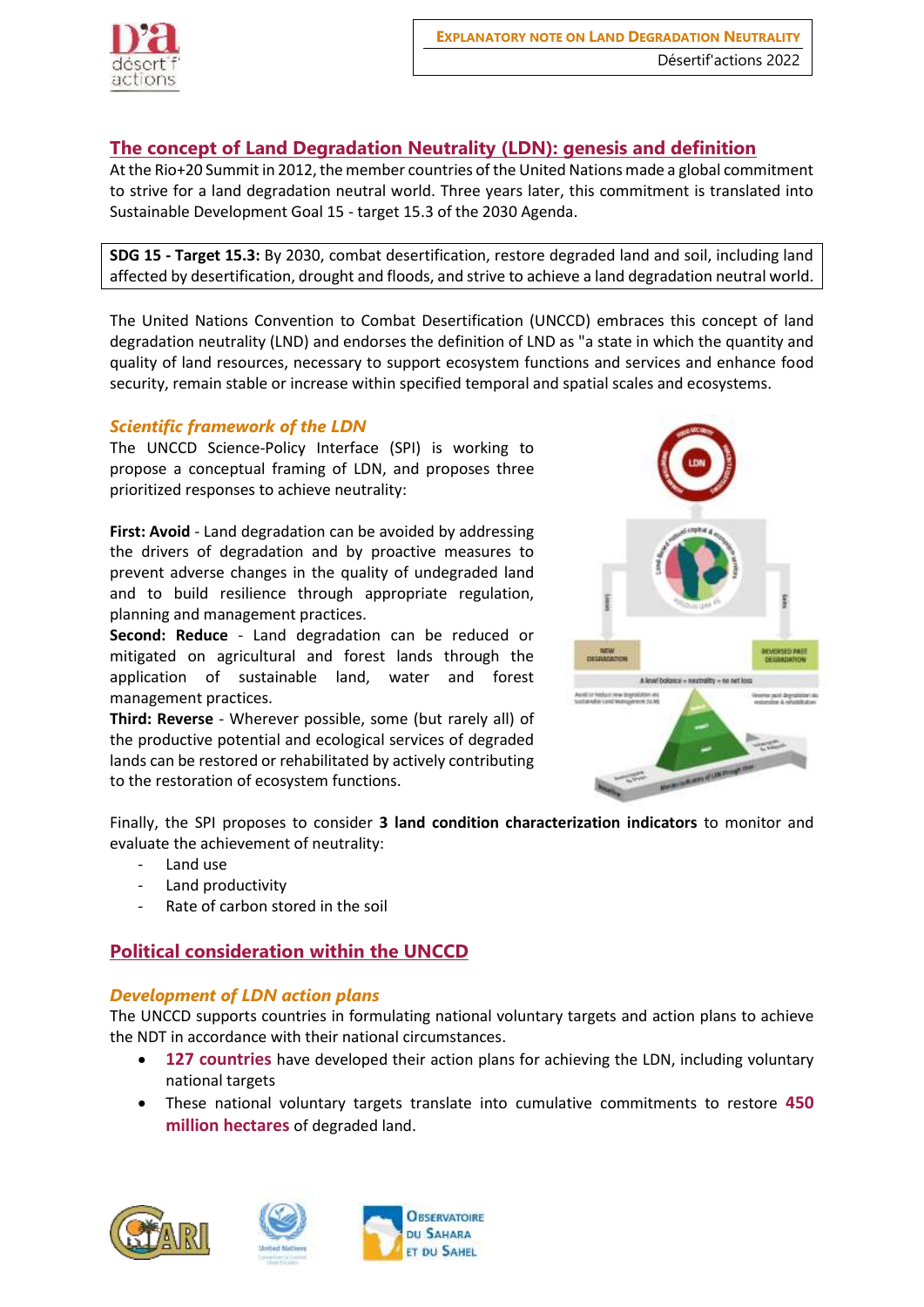

# **The concept of Land Degradation Neutrality (LDN): genesis and definition**

At the Rio+20 Summit in 2012, the member countries of the United Nations made a global commitment to strive for a land degradation neutral world. Three years later, this commitment is translated into Sustainable Development Goal 15 - target 15.3 of the 2030 Agenda.

**SDG 15 - Target 15.3:** By 2030, combat desertification, restore degraded land and soil, including land affected by desertification, drought and floods, and strive to achieve a land degradation neutral world.

The United Nations Convention to Combat Desertification (UNCCD) embraces this concept of land degradation neutrality (LND) and endorses the definition of LND as "a state in which the quantity and quality of land resources, necessary to support ecosystem functions and services and enhance food security, remain stable or increase within specified temporal and spatial scales and ecosystems.

## *Scientific framework of the LDN*

The UNCCD Science-Policy Interface (SPI) is working to propose a conceptual framing of LDN, and proposes three prioritized responses to achieve neutrality:

**First: Avoid** - Land degradation can be avoided by addressing the drivers of degradation and by proactive measures to prevent adverse changes in the quality of undegraded land and to build resilience through appropriate regulation, planning and management practices.

**Second: Reduce** - Land degradation can be reduced or mitigated on agricultural and forest lands through the application of sustainable land, water and forest management practices.

**Third: Reverse** - Wherever possible, some (but rarely all) of the productive potential and ecological services of degraded lands can be restored or rehabilitated by actively contributing to the restoration of ecosystem functions.



Finally, the SPI proposes to consider **3 land condition characterization indicators** to monitor and evaluate the achievement of neutrality:

- Land use
- Land productivity
- Rate of carbon stored in the soil

# **Political consideration within the UNCCD**

## *Development of LDN action plans*

The UNCCD supports countries in formulating national voluntary targets and action plans to achieve the NDT in accordance with their national circumstances.

- **127 countries** have developed their action plans for achieving the LDN, including voluntary national targets
- These national voluntary targets translate into cumulative commitments to restore **450 million hectares** of degraded land.